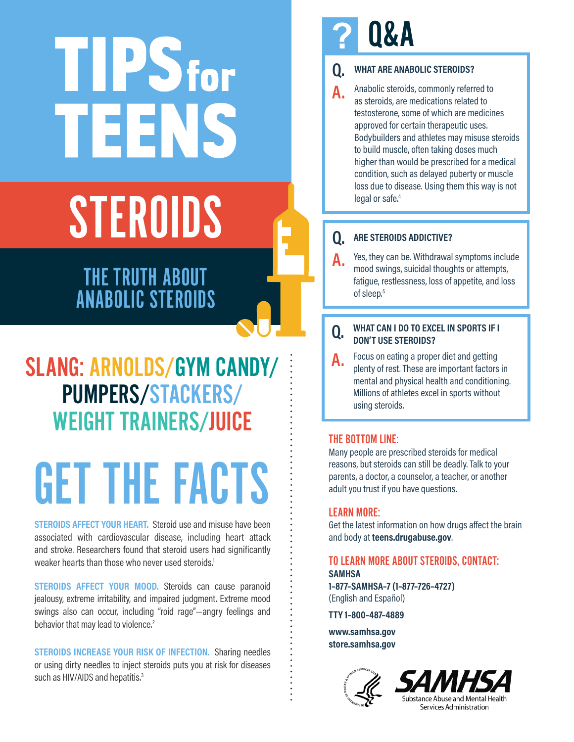# TIPS for TEENS

# STEROIDS

## THE TRUTH ABOUT ANABOLIC STEROIDS

## SLANG: ARNOLDS/GYM CANDY/ PUMPERS/STACKERS/ WEIGHT TRAINERS/JUICE

# GET THE FACTS

**STEROIDS AFFECT YOUR HEART.** Steroid use and misuse have been associated with cardiovascular disease, including heart attack and stroke. Researchers found that steroid users had significantly weaker hearts than those who never used steroids.<sup>1</sup>

**STEROIDS AFFECT YOUR MOOD.** Steroids can cause paranoid jealousy, extreme irritability, and impaired judgment. Extreme mood swings also can occur, including "roid rage"—angry feelings and behavior that may lead to violence.<sup>2</sup>

**STEROIDS INCREASE YOUR RISK OF INFECTION.** Sharing needles or using dirty needles to inject steroids puts you at risk for diseases such as HIV/AIDS and hepatitis.<sup>3</sup>

## **?** Q&A

## **Q. WHAT ARE ANABOLIC STEROIDS?**

A. Anabolic steroids, commonly referred to as steroids, are medications related to testosterone, some of which are medicines approved for certain therapeutic uses. Bodybuilders and athletes may misuse steroids to build muscle, often taking doses much higher than would be prescribed for a medical condition, such as delayed puberty or muscle loss due to disease. Using them this way is not legal or safe.<sup>4</sup>

## **Q. ARE STEROIDS ADDICTIVE?**

A. Yes, they can be. Withdrawal symptoms include mood swings, suicidal thoughts or attempts, fatigue, restlessness, loss of appetite, and loss of sleep.<sup>5</sup>

#### **Q. WHAT CAN I DO TO EXCEL IN SPORTS IF I DON'T USE STEROIDS?**

**A.** Focus on eating a proper diet and getting plenty of rest. These are important factors in mental and physical health and conditioning. Millions of athletes excel in sports without using steroids.

## THE BOTTOM LINE:

Many people are prescribed steroids for medical reasons, but steroids can still be deadly. Talk to your parents, a doctor, a counselor, a teacher, or another adult you trust if you have questions.

### LEARN MORE:

Get the latest information on how drugs affect the brain and body at **teens.drugabuse.gov**.

### TO LEARN MORE ABOUT STEROIDS, CONTACT:

**SAMHSA 1–877–SAMHSA–7 (1–877–726–4727)** (English and Español)

**TTY 1–800–487–4889**

**www.samhsa.gov store.samhsa.gov**